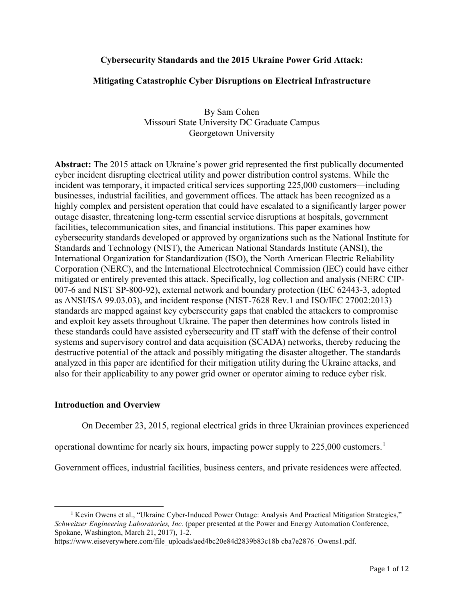# **Cybersecurity Standards and the 2015 Ukraine Power Grid Attack:**

## **Mitigating Catastrophic Cyber Disruptions on Electrical Infrastructure**

By Sam Cohen Missouri State University DC Graduate Campus Georgetown University

**Abstract:** The 2015 attack on Ukraine's power grid represented the first publically documented cyber incident disrupting electrical utility and power distribution control systems. While the incident was temporary, it impacted critical services supporting 225,000 customers—including businesses, industrial facilities, and government offices. The attack has been recognized as a highly complex and persistent operation that could have escalated to a significantly larger power outage disaster, threatening long-term essential service disruptions at hospitals, government facilities, telecommunication sites, and financial institutions. This paper examines how cybersecurity standards developed or approved by organizations such as the National Institute for Standards and Technology (NIST), the American National Standards Institute (ANSI), the International Organization for Standardization (ISO), the North American Electric Reliability Corporation (NERC), and the International Electrotechnical Commission (IEC) could have either mitigated or entirely prevented this attack. Specifically, log collection and analysis (NERC CIP-007-6 and NIST SP-800-92), external network and boundary protection (IEC 62443-3, adopted as ANSI/ISA 99.03.03), and incident response (NIST-7628 Rev.1 and ISO/IEC 27002:2013) standards are mapped against key cybersecurity gaps that enabled the attackers to compromise and exploit key assets throughout Ukraine. The paper then determines how controls listed in these standards could have assisted cybersecurity and IT staff with the defense of their control systems and supervisory control and data acquisition (SCADA) networks, thereby reducing the destructive potential of the attack and possibly mitigating the disaster altogether. The standards analyzed in this paper are identified for their mitigation utility during the Ukraine attacks, and also for their applicability to any power grid owner or operator aiming to reduce cyber risk.

# **Introduction and Overview**

On December 23, 2015, regional electrical grids in three Ukrainian provinces experienced

operational downtime for nearly six hours, impacting power supply to 225,000 customers.[1](#page-0-0)

Government offices, industrial facilities, business centers, and private residences were affected.

<span id="page-0-0"></span><sup>&</sup>lt;sup>1</sup> Kevin Owens et al., "Ukraine Cyber-Induced Power Outage: Analysis And Practical Mitigation Strategies," *Schweitzer Engineering Laboratories, Inc.* (paper presented at the Power and Energy Automation Conference, Spokane, Washington, March 21, 2017), 1-2.

https://www.eiseverywhere.com/file\_uploads/aed4bc20e84d2839b83c18b cba7e2876\_Owens1.pdf.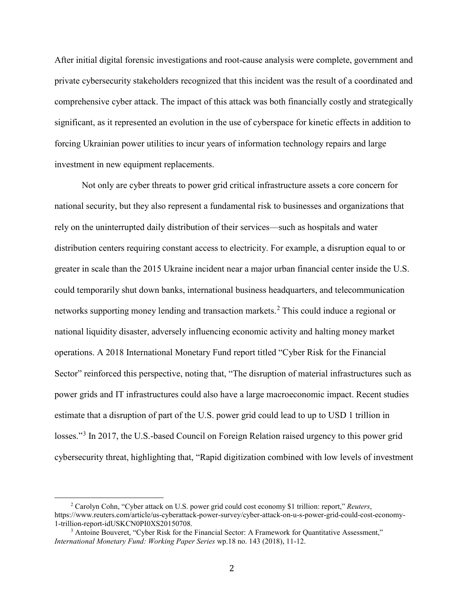After initial digital forensic investigations and root-cause analysis were complete, government and private cybersecurity stakeholders recognized that this incident was the result of a coordinated and comprehensive cyber attack. The impact of this attack was both financially costly and strategically significant, as it represented an evolution in the use of cyberspace for kinetic effects in addition to forcing Ukrainian power utilities to incur years of information technology repairs and large investment in new equipment replacements.

Not only are cyber threats to power grid critical infrastructure assets a core concern for national security, but they also represent a fundamental risk to businesses and organizations that rely on the uninterrupted daily distribution of their services—such as hospitals and water distribution centers requiring constant access to electricity. For example, a disruption equal to or greater in scale than the 2015 Ukraine incident near a major urban financial center inside the U.S. could temporarily shut down banks, international business headquarters, and telecommunication networks supporting money lending and transaction markets.<sup>[2](#page-1-0)</sup> This could induce a regional or national liquidity disaster, adversely influencing economic activity and halting money market operations. A 2018 International Monetary Fund report titled "Cyber Risk for the Financial Sector" reinforced this perspective, noting that, "The disruption of material infrastructures such as power grids and IT infrastructures could also have a large macroeconomic impact. Recent studies estimate that a disruption of part of the U.S. power grid could lead to up to USD 1 trillion in losses."<sup>[3](#page-1-1)</sup> In 2017, the U.S.-based Council on Foreign Relation raised urgency to this power grid cybersecurity threat, highlighting that, "Rapid digitization combined with low levels of investment

<span id="page-1-0"></span><sup>2</sup> Carolyn Cohn, "Cyber attack on U.S. power grid could cost economy \$1 trillion: report," *Reuters*, https://www.reuters.com/article/us-cyberattack-power-survey/cyber-attack-on-u-s-power-grid-could-cost-economy-

<span id="page-1-1"></span> $3$  Antoine Bouveret, "Cyber Risk for the Financial Sector: A Framework for Quantitative Assessment," *International Monetary Fund: Working Paper Series* wp.18 no. 143 (2018), 11-12.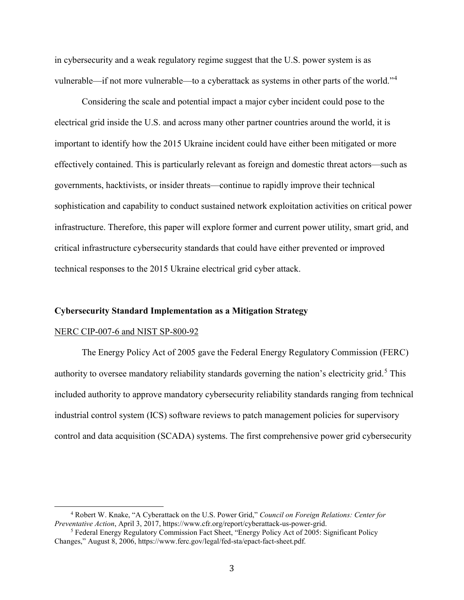in cybersecurity and a weak regulatory regime suggest that the U.S. power system is as vulnerable—if not more vulnerable—to a cyberattack as systems in other parts of the world."[4](#page-2-0)

Considering the scale and potential impact a major cyber incident could pose to the electrical grid inside the U.S. and across many other partner countries around the world, it is important to identify how the 2015 Ukraine incident could have either been mitigated or more effectively contained. This is particularly relevant as foreign and domestic threat actors—such as governments, hacktivists, or insider threats—continue to rapidly improve their technical sophistication and capability to conduct sustained network exploitation activities on critical power infrastructure. Therefore, this paper will explore former and current power utility, smart grid, and critical infrastructure cybersecurity standards that could have either prevented or improved technical responses to the 2015 Ukraine electrical grid cyber attack.

### **Cybersecurity Standard Implementation as a Mitigation Strategy**

#### NERC CIP-007-6 and NIST SP-800-92

The Energy Policy Act of 2005 gave the Federal Energy Regulatory Commission (FERC) authority to oversee mandatory reliability standards governing the nation's electricity grid.<sup>[5](#page-2-1)</sup> This included authority to approve mandatory cybersecurity reliability standards ranging from technical industrial control system (ICS) software reviews to patch management policies for supervisory control and data acquisition (SCADA) systems. The first comprehensive power grid cybersecurity

<span id="page-2-0"></span><sup>4</sup> Robert W. Knake, "A Cyberattack on the U.S. Power Grid," *Council on Foreign Relations: Center for* 

<span id="page-2-1"></span><sup>&</sup>lt;sup>5</sup> Federal Energy Regulatory Commission Fact Sheet, "Energy Policy Act of 2005: Significant Policy Changes," August 8, 2006, https://www.ferc.gov/legal/fed-sta/epact-fact-sheet.pdf.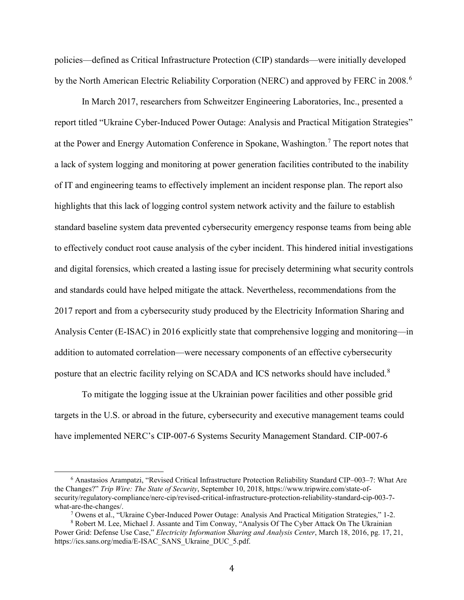policies—defined as Critical Infrastructure Protection (CIP) standards—were initially developed by the North American Electric Reliability Corporation (NERC) and approved by FERC in 2008.<sup>[6](#page-3-0)</sup>

In March 2017, researchers from Schweitzer Engineering Laboratories, Inc., presented a report titled "Ukraine Cyber-Induced Power Outage: Analysis and Practical Mitigation Strategies" at the Power and Energy Automation Conference in Spokane, Washington.<sup>[7](#page-3-1)</sup> The report notes that a lack of system logging and monitoring at power generation facilities contributed to the inability of IT and engineering teams to effectively implement an incident response plan. The report also highlights that this lack of logging control system network activity and the failure to establish standard baseline system data prevented cybersecurity emergency response teams from being able to effectively conduct root cause analysis of the cyber incident. This hindered initial investigations and digital forensics, which created a lasting issue for precisely determining what security controls and standards could have helped mitigate the attack. Nevertheless, recommendations from the 2017 report and from a cybersecurity study produced by the Electricity Information Sharing and Analysis Center (E-ISAC) in 2016 explicitly state that comprehensive logging and monitoring—in addition to automated correlation—were necessary components of an effective cybersecurity posture that an electric facility relying on SCADA and ICS networks should have included.<sup>[8](#page-3-2)</sup>

To mitigate the logging issue at the Ukrainian power facilities and other possible grid targets in the U.S. or abroad in the future, cybersecurity and executive management teams could have implemented NERC's CIP-007-6 Systems Security Management Standard. CIP-007-6

<span id="page-3-0"></span><sup>6</sup> Anastasios Arampatzi, "Revised Critical Infrastructure Protection Reliability Standard CIP–003–7: What Are the Changes?" *Trip Wire: The State of Security*, September 10, 2018, https://www.tripwire.com/state-ofsecurity/regulatory-compliance/nerc-cip/revised-critical-infrastructure-protection-reliability-standard-cip-003-7 what-are-the-changes/.

<sup>7</sup> Owens et al., "Ukraine Cyber-Induced Power Outage: Analysis And Practical Mitigation Strategies," 1-2.

<span id="page-3-2"></span><span id="page-3-1"></span><sup>8</sup> Robert M. Lee, Michael J. Assante and Tim Conway, "Analysis Of The Cyber Attack On The Ukrainian Power Grid: Defense Use Case," *Electricity Information Sharing and Analysis Center*, March 18, 2016, pg. 17, 21, https://ics.sans.org/media/E-ISAC\_SANS\_Ukraine\_DUC\_5.pdf.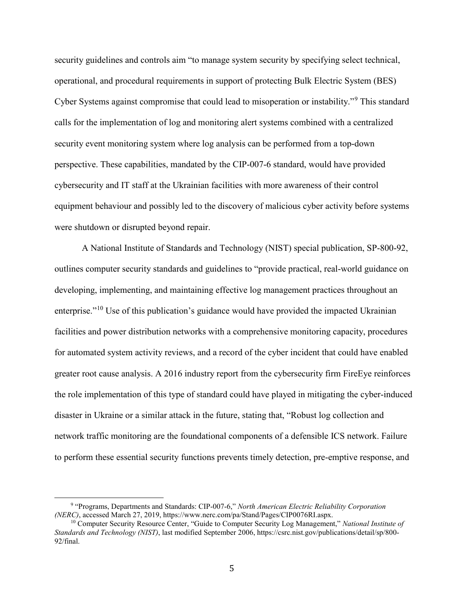security guidelines and controls aim "to manage system security by specifying select technical, operational, and procedural requirements in support of protecting Bulk Electric System (BES) Cyber Systems against compromise that could lead to misoperation or instability."[9](#page-4-0) This standard calls for the implementation of log and monitoring alert systems combined with a centralized security event monitoring system where log analysis can be performed from a top-down perspective. These capabilities, mandated by the CIP-007-6 standard, would have provided cybersecurity and IT staff at the Ukrainian facilities with more awareness of their control equipment behaviour and possibly led to the discovery of malicious cyber activity before systems were shutdown or disrupted beyond repair.

A National Institute of Standards and Technology (NIST) special publication, SP-800-92, outlines computer security standards and guidelines to "provide practical, real-world guidance on developing, implementing, and maintaining effective log management practices throughout an enterprise."<sup>[10](#page-4-1)</sup> Use of this publication's guidance would have provided the impacted Ukrainian facilities and power distribution networks with a comprehensive monitoring capacity, procedures for automated system activity reviews, and a record of the cyber incident that could have enabled greater root cause analysis. A 2016 industry report from the cybersecurity firm FireEye reinforces the role implementation of this type of standard could have played in mitigating the cyber-induced disaster in Ukraine or a similar attack in the future, stating that, "Robust log collection and network traffic monitoring are the foundational components of a defensible ICS network. Failure to perform these essential security functions prevents timely detection, pre-emptive response, and

<span id="page-4-0"></span><sup>9</sup> "Programs, Departments and Standards: CIP-007-6," *North American Electric Reliability Corporation* 

<span id="page-4-1"></span><sup>&</sup>lt;sup>10</sup> Computer Security Resource Center, "Guide to Computer Security Log Management," *National Institute of Standards and Technology (NIST)*, last modified September 2006, https://csrc.nist.gov/publications/detail/sp/800- 92/final.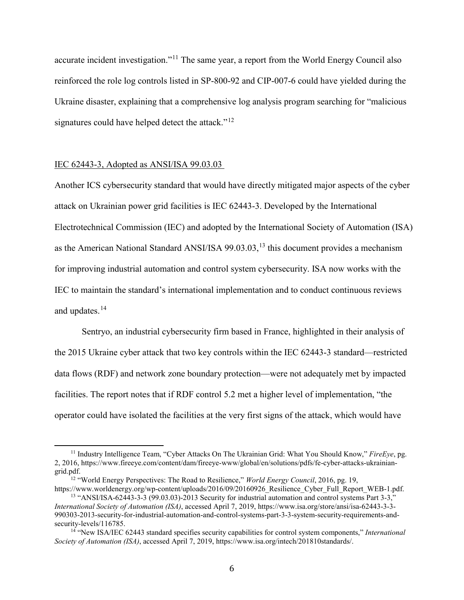accurate incident investigation."<sup>[11](#page-5-0)</sup> The same year, a report from the World Energy Council also reinforced the role log controls listed in SP-800-92 and CIP-007-6 could have yielded during the Ukraine disaster, explaining that a comprehensive log analysis program searching for "malicious signatures could have helped detect the attack."<sup>[12](#page-5-1)</sup>

### IEC 62443-3, Adopted as ANSI/ISA 99.03.03

Another ICS cybersecurity standard that would have directly mitigated major aspects of the cyber attack on Ukrainian power grid facilities is IEC 62443-3. Developed by the International Electrotechnical Commission (IEC) and adopted by the International Society of Automation (ISA) as the American National Standard ANSI/ISA 99.03.03,<sup>[13](#page-5-2)</sup> this document provides a mechanism for improving industrial automation and control system cybersecurity. ISA now works with the IEC to maintain the standard's international implementation and to conduct continuous reviews and updates.[14](#page-5-3)

Sentryo, an industrial cybersecurity firm based in France, highlighted in their analysis of the 2015 Ukraine cyber attack that two key controls within the IEC 62443-3 standard—restricted data flows (RDF) and network zone boundary protection—were not adequately met by impacted facilities. The report notes that if RDF control 5.2 met a higher level of implementation, "the operator could have isolated the facilities at the very first signs of the attack, which would have

<span id="page-5-0"></span><sup>11</sup> Industry Intelligence Team, "Cyber Attacks On The Ukrainian Grid: What You Should Know," *FireEye*, pg. 2, 2016, https://www.fireeye.com/content/dam/fireeye-www/global/en/solutions/pdfs/fe-cyber-attacks-ukrainian-

<span id="page-5-1"></span>grid.pdf.<br><sup>12</sup> "World Energy Perspectives: The Road to Resilience," *World Energy Council*, 2016, pg. 19,<br>https://www.worldenergy.org/wp-content/uploads/2016/09/20160926 Resilience Cyber Full Report WEB-1.pdf.

<span id="page-5-2"></span><sup>&</sup>lt;sup>13</sup> "ANSI/ISA-62443-3-3 (99.03.03)-2013 Security for industrial automation and control systems Part 3-3," *International Society of Automation (ISA)*, accessed April 7, 2019, https://www.isa.org/store/ansi/isa-62443-3-3- 990303-2013-security-for-industrial-automation-and-control-systems-part-3-3-system-security-requirements-andsecurity-levels/116785. 14 "New ISA/IEC 62443 standard specifies security capabilities for control system components," *International* 

<span id="page-5-3"></span>*Society of Automation (ISA)*, accessed April 7, 2019, https://www.isa.org/intech/201810standards/.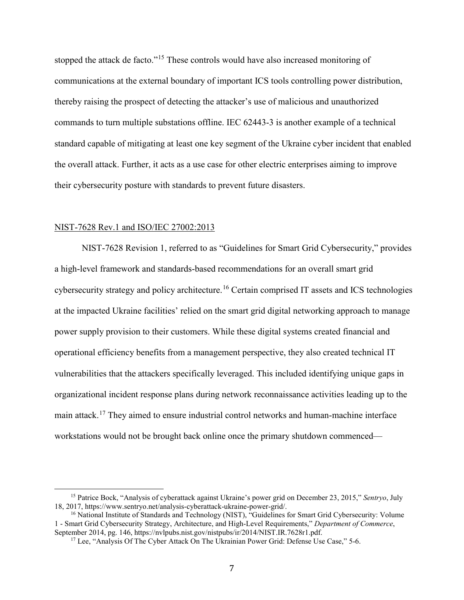stopped the attack de facto."<sup>[15](#page-6-0)</sup> These controls would have also increased monitoring of communications at the external boundary of important ICS tools controlling power distribution, thereby raising the prospect of detecting the attacker's use of malicious and unauthorized commands to turn multiple substations offline. IEC 62443-3 is another example of a technical standard capable of mitigating at least one key segment of the Ukraine cyber incident that enabled the overall attack. Further, it acts as a use case for other electric enterprises aiming to improve their cybersecurity posture with standards to prevent future disasters.

### NIST-7628 Rev.1 and ISO/IEC 27002:2013

NIST-7628 Revision 1, referred to as "Guidelines for Smart Grid Cybersecurity," provides a high-level framework and standards-based recommendations for an overall smart grid cybersecurity strategy and policy architecture.<sup>[16](#page-6-1)</sup> Certain comprised IT assets and ICS technologies at the impacted Ukraine facilities' relied on the smart grid digital networking approach to manage power supply provision to their customers. While these digital systems created financial and operational efficiency benefits from a management perspective, they also created technical IT vulnerabilities that the attackers specifically leveraged. This included identifying unique gaps in organizational incident response plans during network reconnaissance activities leading up to the main attack.[17](#page-6-2) They aimed to ensure industrial control networks and human-machine interface workstations would not be brought back online once the primary shutdown commenced—

<span id="page-6-0"></span><sup>15</sup> Patrice Bock, "Analysis of cyberattack against Ukraine's power grid on December 23, 2015," *Sentryo*, July 18, 2017, https://www.sentryo.net/analysis-cyberattack-ukraine-power-grid/. 16 National Institute of Standards and Technology (NIST), "Guidelines for Smart Grid Cybersecurity: Volume

<span id="page-6-2"></span><span id="page-6-1"></span><sup>1 -</sup> Smart Grid Cybersecurity Strategy, Architecture, and High-Level Requirements," *Department of Commerce*,

<sup>&</sup>lt;sup>17</sup> Lee, "Analysis Of The Cyber Attack On The Ukrainian Power Grid: Defense Use Case," 5-6.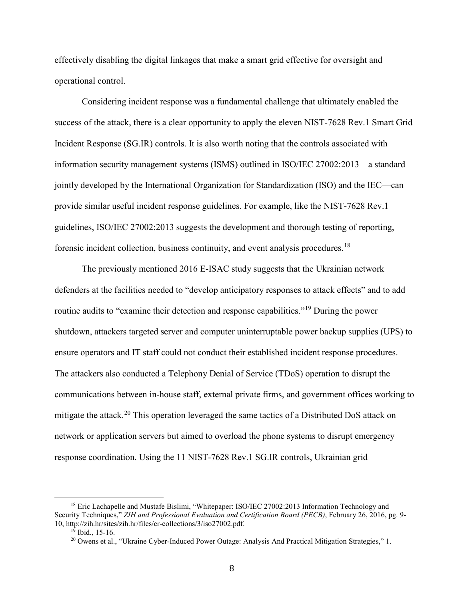effectively disabling the digital linkages that make a smart grid effective for oversight and operational control.

Considering incident response was a fundamental challenge that ultimately enabled the success of the attack, there is a clear opportunity to apply the eleven NIST-7628 Rev.1 Smart Grid Incident Response (SG.IR) controls. It is also worth noting that the controls associated with information security management systems (ISMS) outlined in ISO/IEC 27002:2013—a standard jointly developed by the International Organization for Standardization (ISO) and the IEC—can provide similar useful incident response guidelines. For example, like the NIST-7628 Rev.1 guidelines, ISO/IEC 27002:2013 suggests the development and thorough testing of reporting, forensic incident collection, business continuity, and event analysis procedures.[18](#page-7-0)

The previously mentioned 2016 E-ISAC study suggests that the Ukrainian network defenders at the facilities needed to "develop anticipatory responses to attack effects" and to add routine audits to "examine their detection and response capabilities."[19](#page-7-1) During the power shutdown, attackers targeted server and computer uninterruptable power backup supplies (UPS) to ensure operators and IT staff could not conduct their established incident response procedures. The attackers also conducted a Telephony Denial of Service (TDoS) operation to disrupt the communications between in-house staff, external private firms, and government offices working to mitigate the attack.<sup>[20](#page-7-2)</sup> This operation leveraged the same tactics of a Distributed DoS attack on network or application servers but aimed to overload the phone systems to disrupt emergency response coordination. Using the 11 NIST-7628 Rev.1 SG.IR controls, Ukrainian grid

<span id="page-7-2"></span><span id="page-7-1"></span><span id="page-7-0"></span><sup>&</sup>lt;sup>18</sup> Eric Lachapelle and Mustafe Bislimi, "Whitepaper: ISO/IEC 27002:2013 Information Technology and Security Techniques," *ZIH and Professional Evaluation and Certification Board (PECB)*, February 26, 2016, pg. 9- 10, http://zih.hr/sites/zih.hr/files/cr-collections/3/iso27002.pdf.<br><sup>19</sup> Ibid., 15-16.<br><sup>20</sup> Owens et al., "Ukraine Cyber-Induced Power Outage: Analysis And Practical Mitigation Strategies," 1.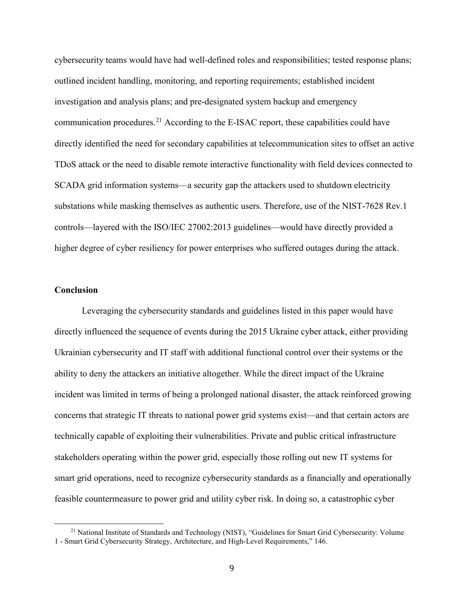cybersecurity teams would have had well-defined roles and responsibilities; tested response plans; outlined incident handling, monitoring, and reporting requirements; established incident investigation and analysis plans; and pre-designated system backup and emergency communication procedures.<sup>[21](#page-8-0)</sup> According to the E-ISAC report, these capabilities could have directly identified the need for secondary capabilities at telecommunication sites to offset an active TDoS attack or the need to disable remote interactive functionality with field devices connected to SCADA grid information systems—a security gap the attackers used to shutdown electricity substations while masking themselves as authentic users. Therefore, use of the NIST-7628 Rev.1 controls—layered with the ISO/IEC 27002:2013 guidelines—would have directly provided a higher degree of cyber resiliency for power enterprises who suffered outages during the attack.

### **Conclusion**

Leveraging the cybersecurity standards and guidelines listed in this paper would have directly influenced the sequence of events during the 2015 Ukraine cyber attack, either providing Ukrainian cybersecurity and IT staff with additional functional control over their systems or the ability to deny the attackers an initiative altogether. While the direct impact of the Ukraine incident was limited in terms of being a prolonged national disaster, the attack reinforced growing concerns that strategic IT threats to national power grid systems exist—and that certain actors are technically capable of exploiting their vulnerabilities. Private and public critical infrastructure stakeholders operating within the power grid, especially those rolling out new IT systems for smart grid operations, need to recognize cybersecurity standards as a financially and operationally feasible countermeasure to power grid and utility cyber risk. In doing so, a catastrophic cyber

<span id="page-8-0"></span><sup>&</sup>lt;sup>21</sup> National Institute of Standards and Technology (NIST), "Guidelines for Smart Grid Cybersecurity: Volume 1 - Smart Grid Cybersecurity Strategy, Architecture, and High-Level Requirements," 146.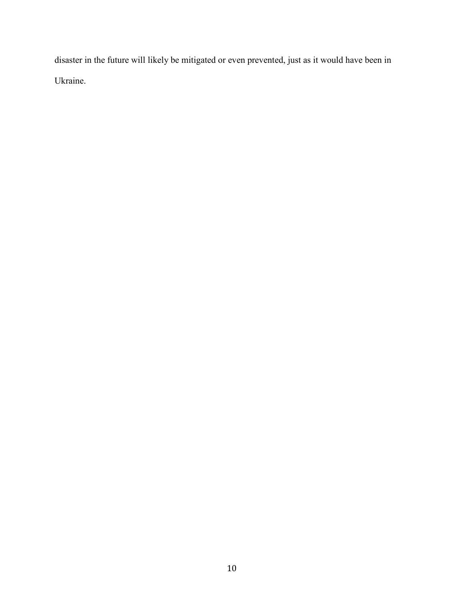disaster in the future will likely be mitigated or even prevented, just as it would have been in Ukraine.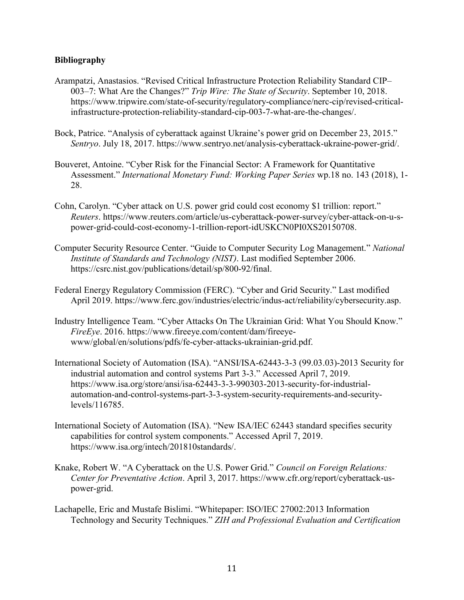# **Bibliography**

- Arampatzi, Anastasios. "Revised Critical Infrastructure Protection Reliability Standard CIP– 003–7: What Are the Changes?" *Trip Wire: The State of Security*. September 10, 2018. https://www.tripwire.com/state-of-security/regulatory-compliance/nerc-cip/revised-criticalinfrastructure-protection-reliability-standard-cip-003-7-what-are-the-changes/.
- Bock, Patrice. "Analysis of cyberattack against Ukraine's power grid on December 23, 2015." *Sentryo*. July 18, 2017. https://www.sentryo.net/analysis-cyberattack-ukraine-power-grid/.
- Bouveret, Antoine. "Cyber Risk for the Financial Sector: A Framework for Quantitative Assessment." *International Monetary Fund: Working Paper Series* wp.18 no. 143 (2018), 1- 28.
- Cohn, Carolyn. "Cyber attack on U.S. power grid could cost economy \$1 trillion: report." *Reuters*. https://www.reuters.com/article/us-cyberattack-power-survey/cyber-attack-on-u-spower-grid-could-cost-economy-1-trillion-report-idUSKCN0PI0XS20150708.
- Computer Security Resource Center. "Guide to Computer Security Log Management." *National Institute of Standards and Technology (NIST)*. Last modified September 2006. https://csrc.nist.gov/publications/detail/sp/800-92/final.
- Federal Energy Regulatory Commission (FERC). "Cyber and Grid Security." Last modified April 2019. https://www.ferc.gov/industries/electric/indus-act/reliability/cybersecurity.asp.
- Industry Intelligence Team. "Cyber Attacks On The Ukrainian Grid: What You Should Know." *FireEye*. 2016. https://www.fireeye.com/content/dam/fireeyewww/global/en/solutions/pdfs/fe-cyber-attacks-ukrainian-grid.pdf.
- International Society of Automation (ISA). "ANSI/ISA-62443-3-3 (99.03.03)-2013 Security for industrial automation and control systems Part 3-3." Accessed April 7, 2019. https://www.isa.org/store/ansi/isa-62443-3-3-990303-2013-security-for-industrialautomation-and-control-systems-part-3-3-system-security-requirements-and-securitylevels/116785.
- International Society of Automation (ISA). "New ISA/IEC 62443 standard specifies security capabilities for control system components." Accessed April 7, 2019. https://www.isa.org/intech/201810standards/.
- Knake, Robert W. "A Cyberattack on the U.S. Power Grid." *Council on Foreign Relations: Center for Preventative Action*. April 3, 2017. https://www.cfr.org/report/cyberattack-uspower-grid.
- Lachapelle, Eric and Mustafe Bislimi. "Whitepaper: ISO/IEC 27002:2013 Information Technology and Security Techniques." *ZIH and Professional Evaluation and Certification*